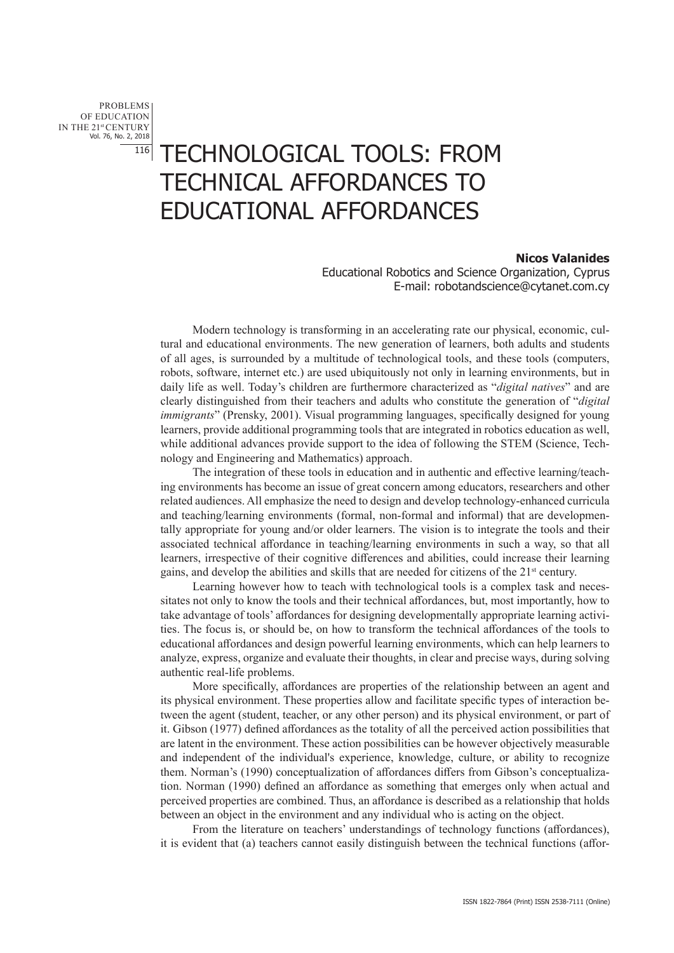PROBLEMS OF EDUCATION IN THE 21st CENTURY Vol. 76, No. 2, 2018 116

## TECHNOLOGICAL TOOLS: FROM TECHNICAL AFFORDANCES TO EDUCATIONAL AFFORDANCES

## **Nicos Valanides**

Educational Robotics and Science Organization, Cyprus E-mail: robotandscience@cytanet.com.cy

Modern technology is transforming in an accelerating rate our physical, economic, cultural and educational environments. The new generation of learners, both adults and students of all ages, is surrounded by a multitude of technological tools, and these tools (computers, robots, software, internet etc.) are used ubiquitously not only in learning environments, but in daily life as well. Today's children are furthermore characterized as "*digital natives*" and are clearly distinguished from their teachers and adults who constitute the generation of "*digital immigrants*" (Prensky, 2001). Visual programming languages, specifically designed for young learners, provide additional programming tools that are integrated in robotics education as well, while additional advances provide support to the idea of following the STEM (Science, Technology and Engineering and Mathematics) approach.

The integration of these tools in education and in authentic and effective learning/teaching environments has become an issue of great concern among educators, researchers and other related audiences. All emphasize the need to design and develop technology-enhanced curricula and teaching/learning environments (formal, non-formal and informal) that are developmentally appropriate for young and/or older learners. The vision is to integrate the tools and their associated technical affordance in teaching/learning environments in such a way, so that all learners, irrespective of their cognitive differences and abilities, could increase their learning gains, and develop the abilities and skills that are needed for citizens of the  $21<sup>st</sup>$  century.

Learning however how to teach with technological tools is a complex task and necessitates not only to know the tools and their technical affordances, but, most importantly, how to take advantage of tools' affordances for designing developmentally appropriate learning activities. The focus is, or should be, on how to transform the technical affordances of the tools to educational affordances and design powerful learning environments, which can help learners to analyze, express, organize and evaluate their thoughts, in clear and precise ways, during solving authentic real-life problems.

More specifically, affordances are properties of the relationship between an agent and its physical environment. These properties allow and facilitate specific types of interaction between the agent (student, teacher, or any other person) and its physical environment, or part of it. Gibson (1977) defined affordances as the totality of all the perceived action possibilities that are latent in the environment. These action possibilities can be however objectively measurable and independent of the individual's experience, knowledge, culture, or ability to recognize them. Norman's (1990) conceptualization of affordances differs from Gibson's conceptualization. Norman (1990) defined an affordance as something that emerges only when actual and perceived properties are combined. Thus, an affordance is described as a relationship that holds between an object in the environment and any individual who is acting on the object.

From the literature on teachers' understandings of technology functions (affordances), it is evident that (a) teachers cannot easily distinguish between the technical functions (affor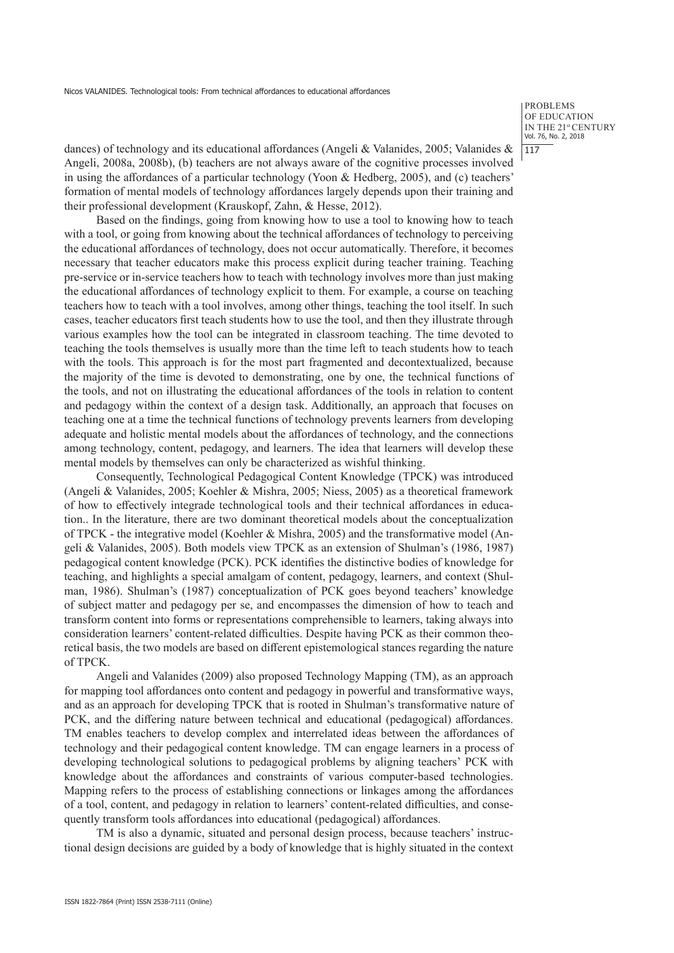Nicos VALANIDES. Technological tools: From technical affordances to educational affordances

**PROBLEMS** OF EDUCATION IN THE 21st CENTURY Vol. 76, No. 2, 2018 117

dances) of technology and its educational affordances (Angeli & Valanides, 2005; Valanides & Angeli, 2008a, 2008b), (b) teachers are not always aware of the cognitive processes involved in using the affordances of a particular technology (Yoon & Hedberg, 2005), and (c) teachers' formation of mental models of technology affordances largely depends upon their training and their professional development (Krauskopf, Zahn, & Hesse, 2012).

Based on the findings, going from knowing how to use a tool to knowing how to teach with a tool, or going from knowing about the technical affordances of technology to perceiving the educational affordances of technology, does not occur automatically. Therefore, it becomes necessary that teacher educators make this process explicit during teacher training. Teaching pre-service or in-service teachers how to teach with technology involves more than just making the educational affordances of technology explicit to them. For example, a course on teaching teachers how to teach with a tool involves, among other things, teaching the tool itself. In such cases, teacher educators first teach students how to use the tool, and then they illustrate through various examples how the tool can be integrated in classroom teaching. The time devoted to teaching the tools themselves is usually more than the time left to teach students how to teach with the tools. This approach is for the most part fragmented and decontextualized, because the majority of the time is devoted to demonstrating, one by one, the technical functions of the tools, and not on illustrating the educational affordances of the tools in relation to content and pedagogy within the context of a design task. Additionally, an approach that focuses on teaching one at a time the technical functions of technology prevents learners from developing adequate and holistic mental models about the affordances of technology, and the connections among technology, content, pedagogy, and learners. The idea that learners will develop these mental models by themselves can only be characterized as wishful thinking.

Consequently, Technological Pedagogical Content Knowledge (TPCK) was introduced (Angeli & Valanides, 2005; Koehler & Mishra, 2005; Niess, 2005) as a theoretical framework of how to effectively integrade technological tools and their technical affordances in education.. In the literature, there are two dominant theoretical models about the conceptualization of TPCK - the integrative model (Koehler & Mishra, 2005) and the transformative model (Angeli & Valanides, 2005). Both models view TPCK as an extension of Shulman's (1986, 1987) pedagogical content knowledge (PCK). PCK identifies the distinctive bodies of knowledge for teaching, and highlights a special amalgam of content, pedagogy, learners, and context (Shulman, 1986). Shulman's (1987) conceptualization of PCK goes beyond teachers' knowledge of subject matter and pedagogy per se, and encompasses the dimension of how to teach and transform content into forms or representations comprehensible to learners, taking always into consideration learners' content-related difficulties. Despite having PCK as their common theoretical basis, the two models are based on different epistemological stances regarding the nature of TPCK.

Angeli and Valanides (2009) also proposed Technology Mapping (TM), as an approach for mapping tool affordances onto content and pedagogy in powerful and transformative ways, and as an approach for developing TPCK that is rooted in Shulman's transformative nature of PCK, and the differing nature between technical and educational (pedagogical) affordances. ΤΜ enables teachers to develop complex and interrelated ideas between the affordances of technology and their pedagogical content knowledge. TM can engage learners in a process of developing technological solutions to pedagogical problems by aligning teachers' PCK with knowledge about the affordances and constraints of various computer-based technologies. Mapping refers to the process of establishing connections or linkages among the affordances of a tool, content, and pedagogy in relation to learners' content-related difficulties, and consequently transform tools affordances into educational (pedagogical) affordances.

TM is also a dynamic, situated and personal design process, because teachers' instructional design decisions are guided by a body of knowledge that is highly situated in the context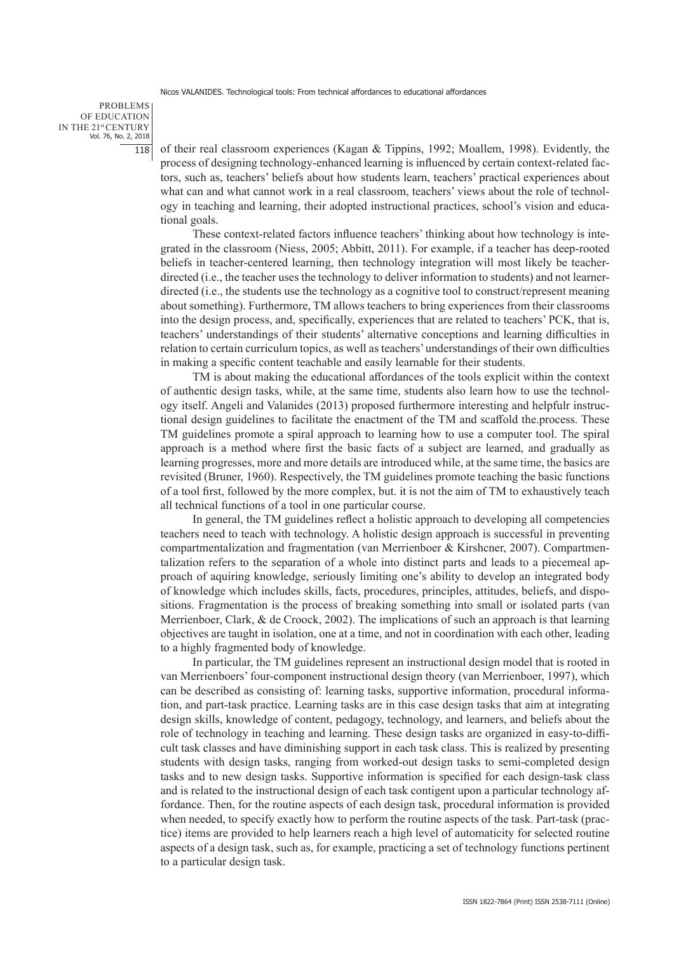Nicos VALANIDES. Technological tools: From technical affordances to educational affordances

PROBLEMS OF EDUCATION IN THE 21st CENTURY Vol. 76, No. 2, 2018 118

of their real classroom experiences (Kagan & Tippins, 1992; Moallem, 1998). Evidently, the process of designing technology-enhanced learning is influenced by certain context-related factors, such as, teachers' beliefs about how students learn, teachers' practical experiences about what can and what cannot work in a real classroom, teachers' views about the role of technology in teaching and learning, their adopted instructional practices, school's vision and educational goals.

These context-related factors influence teachers' thinking about how technology is integrated in the classroom (Niess, 2005; Abbitt, 2011). For example, if a teacher has deep-rooted beliefs in teacher-centered learning, then technology integration will most likely be teacherdirected (i.e., the teacher uses the technology to deliver information to students) and not learnerdirected (i.e., the students use the technology as a cognitive tool to construct/represent meaning about something). Furthermore, TM allows teachers to bring experiences from their classrooms into the design process, and, specifically, experiences that are related to teachers' PCK, that is, teachers' understandings of their students' alternative conceptions and learning difficulties in relation to certain curriculum topics, as well as teachers' understandings of their own difficulties in making a specific content teachable and easily learnable for their students.

TM is about making the educational affordances of the tools explicit within the context of authentic design tasks, while, at the same time, students also learn how to use the technology itself. Angeli and Valanides (2013) proposed furthermore interesting and helpfulr instructional design guidelines to facilitate the enactment of the TM and scaffold the.process. These TM guidelines promote a spiral approach to learning how to use a computer tool. The spiral approach is a method where first the basic facts of a subject are learned, and gradually as learning progresses, more and more details are introduced while, at the same time, the basics are revisited (Bruner, 1960). Respectively, the TM guidelines promote teaching the basic functions of a tool first, followed by the more complex, but. it is not the aim of TM to exhaustively teach all technical functions of a tool in one particular course.

In general, the TM guidelines reflect a holistic approach to developing all competencies teachers need to teach with technology. A holistic design approach is successful in preventing compartmentalization and fragmentation (van Merrienboer & Kirshcner, 2007). Compartmentalization refers to the separation of a whole into distinct parts and leads to a piecemeal approach of aquiring knowledge, seriously limiting one's ability to develop an integrated body of knowledge which includes skills, facts, procedures, principles, attitudes, beliefs, and dispositions. Fragmentation is the process of breaking something into small or isolated parts (van Merrienboer, Clark, & de Croock, 2002). The implications of such an approach is that learning objectives are taught in isolation, one at a time, and not in coordination with each other, leading to a highly fragmented body of knowledge.

In particular, the TM guidelines represent an instructional design model that is rooted in van Merrienboers' four-component instructional design theory (van Merrienboer, 1997), which can be described as consisting of: learning tasks, supportive information, procedural information, and part-task practice. Learning tasks are in this case design tasks that aim at integrating design skills, knowledge of content, pedagogy, technology, and learners, and beliefs about the role of technology in teaching and learning. These design tasks are organized in easy-to-difficult task classes and have diminishing support in each task class. This is realized by presenting students with design tasks, ranging from worked-out design tasks to semi-completed design tasks and to new design tasks. Supportive information is specified for each design-task class and is related to the instructional design of each task contigent upon a particular technology affordance. Then, for the routine aspects of each design task, procedural information is provided when needed, to specify exactly how to perform the routine aspects of the task. Part-task (practice) items are provided to help learners reach a high level of automaticity for selected routine aspects of a design task, such as, for example, practicing a set of technology functions pertinent to a particular design task.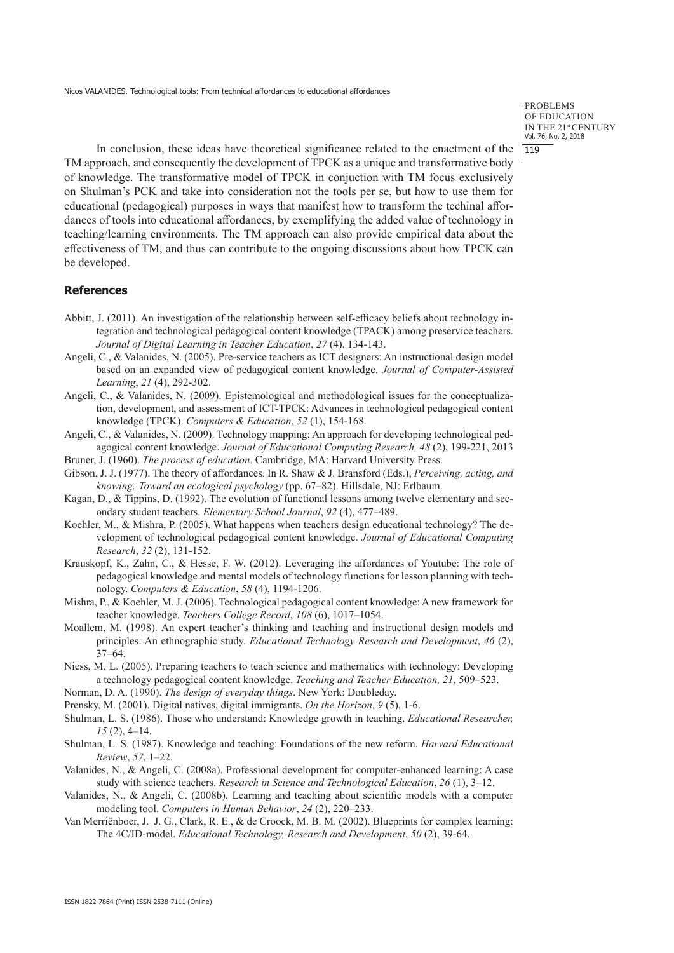**PROBLEMS** OF EDUCATION IN THE 21st CENTURY Vol. 76, No. 2, 2018  $119$ 

In conclusion, these ideas have theoretical significance related to the enactment of the TM approach, and consequently the development of TPCK as a unique and transformative body of knowledge. The transformative model of TPCK in conjuction with TM focus exclusively on Shulman's PCK and take into consideration not the tools per se, but how to use them for educational (pedagogical) purposes in ways that manifest how to transform the techinal affordances of tools into educational affordances, by exemplifying the added value of technology in teaching/learning environments. The TM approach can also provide empirical data about the effectiveness of TM, and thus can contribute to the ongoing discussions about how TPCK can be developed.

## **References**

- Abbitt, J. (2011). An investigation of the relationship between self-efficacy beliefs about technology integration and technological pedagogical content knowledge (TPACK) among preservice teachers. *Journal of Digital Learning in Teacher Education*, *27* (4), 134-143.
- Angeli, C., & Valanides, N. (2005). Pre-service teachers as ICT designers: An instructional design model based on an expanded view of pedagogical content knowledge. *Journal of Computer-Assisted Learning*, *21* (4), 292-302.
- Angeli, C., & Valanides, N. (2009). Epistemological and methodological issues for the conceptualization, development, and assessment of ICT-TPCK: Advances in technological pedagogical content knowledge (TPCK). *Computers & Education*, *52* (1), 154-168.
- Angeli, C., & Valanides, N. (2009). Technology mapping: An approach for developing technological pedagogical content knowledge. *Journal of Educational Computing Research, 48* (2), 199-221, 2013
- Bruner, J. (1960). *The process of education*. Cambridge, MA: Harvard University Press.
- Gibson, J. J. (1977). The theory of affordances. In R. Shaw & J. Bransford (Eds.), *Perceiving, acting, and knowing: Toward an ecological psychology* (pp. 67–82). Hillsdale, NJ: Erlbaum.
- Kagan, D., & Tippins, D. (1992). The evolution of functional lessons among twelve elementary and secondary student teachers. *Elementary School Journal*, *92* (4), 477–489.
- Koehler, M., & Mishra, P. (2005). What happens when teachers design educational technology? The development of technological pedagogical content knowledge. *Journal of Educational Computing Research*, *32* (2), 131-152.
- Krauskopf, K., Zahn, C., & Hesse, F. W. (2012). Leveraging the affordances of Youtube: The role of pedagogical knowledge and mental models of technology functions for lesson planning with technology. *Computers & Education*, *58* (4), 1194-1206.
- Mishra, P., & Koehler, M. J. (2006). Technological pedagogical content knowledge: A new framework for teacher knowledge. *Teachers College Record*, *108* (6), 1017–1054.
- Moallem, M. (1998). An expert teacher's thinking and teaching and instructional design models and principles: An ethnographic study. *Educational Technology Research and Development*, *46* (2), 37–64.
- Niess, M. L. (2005). Preparing teachers to teach science and mathematics with technology: Developing a technology pedagogical content knowledge. *Teaching and Teacher Education, 21*, 509–523.
- Norman, D. A. (1990). *The design of everyday things*. New York: Doubleday.
- Prensky, M. (2001). Digital natives, digital immigrants. *On the Horizon*, *9* (5), 1-6.
- Shulman, L. S. (1986). Those who understand: Knowledge growth in teaching. *Educational Researcher, 15* (2), 4–14.
- Shulman, L. S. (1987). Knowledge and teaching: Foundations of the new reform. *Harvard Educational Review*, *57*, 1–22.
- Valanides, N., & Angeli, C. (2008a). Professional development for computer-enhanced learning: A case study with science teachers. *Research in Science and Technological Education*, *26* (1), 3–12.
- Valanides, N., & Angeli, C. (2008b). Learning and teaching about scientific models with a computer modeling tool. *Computers in Human Behavior*, *24* (2), 220–233.
- Van Merriënboer, J. J. G., Clark, R. E., & de Croock, M. B. M. (2002). Blueprints for complex learning: The 4C/ID-model. *Educational Technology, Research and Development*, *50* (2), 39-64.